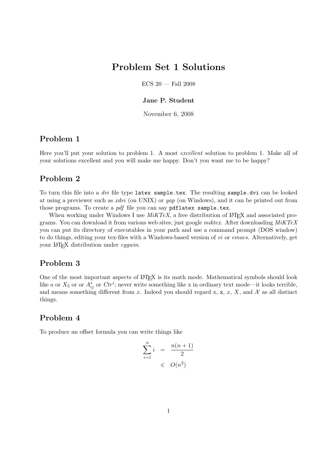# Problem Set 1 Solutions

 $ECS$  20 — Fall 2008

#### Jane P. Student

November 6, 2008

#### Problem 1

Here you'll put your solution to problem 1. A most excellent solution to problem 1. Make all of your solutions excellent and you will make me happy. Don't you want me to be happy?

#### Problem 2

To turn this file into a *dvi* file type latex sample.tex. The resulting sample.dvi can be looked at using a previewer such as xdvi (on UNIX) or yap (on Windows), and it can be printed out from those programs. To create a *pdf* file you can say pdflatex sample.tex.

When working under Windows I use  $MiKTEX$ , a free distribution of LAT<sub>EX</sub> and associated programs. You can download it from various web sites; just google miktex. After downloading MiKTeX you can put its directory of executables in your path and use a command prompt (DOS window) to do things, editing your tex-files with a Windows-based version of vi or emacs. Alternatively, get your LAT<sub>EX</sub> distribution under *cygwin*.

## Problem 3

One of the most important aspects of LAT<sub>EX</sub> is its math mode. Mathematical symbols should look like a or  $X_5$  or or  $A_{ij}^*$  or  $Ctr^i$ ; never write something like x in ordinary text mode—it looks terrible, and means something different from x. Indeed you should regard x, x, x, X, and X as all distinct things.

### Problem 4

To produce an offset formula you can write things like

$$
\sum_{i=1}^{n} i = \frac{n(n+1)}{2}
$$

$$
\in O(n^2)
$$